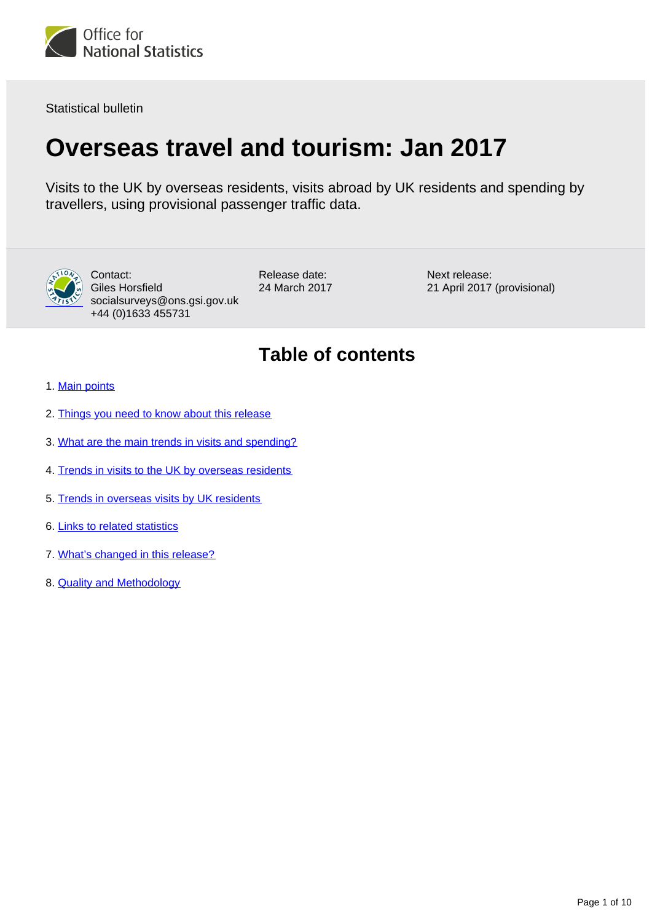

Statistical bulletin

# **Overseas travel and tourism: Jan 2017**

Visits to the UK by overseas residents, visits abroad by UK residents and spending by travellers, using provisional passenger traffic data.



Contact: Giles Horsfield socialsurveys@ons.gsi.gov.uk +44 (0)1633 455731

Release date: 24 March 2017 Next release: 21 April 2017 (provisional)

## **Table of contents**

- 1. [Main points](#page-1-0)
- 2. [Things you need to know about this release](#page-1-1)
- 3. [What are the main trends in visits and spending?](#page-2-0)
- 4. [Trends in visits to the UK by overseas residents](#page-3-0)
- 5. [Trends in overseas visits by UK residents](#page-5-0)
- 6. [Links to related statistics](#page-6-0)
- 7. [What's changed in this release?](#page-6-1)
- 8. [Quality and Methodology](#page-7-0)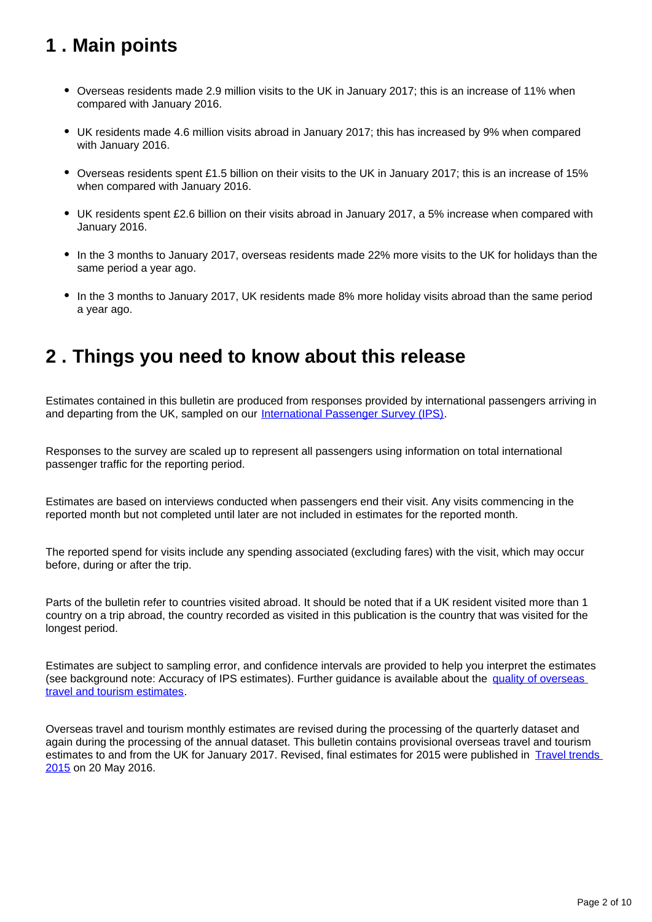## <span id="page-1-0"></span>**1 . Main points**

- Overseas residents made 2.9 million visits to the UK in January 2017; this is an increase of 11% when compared with January 2016.
- UK residents made 4.6 million visits abroad in January 2017; this has increased by 9% when compared with January 2016.
- Overseas residents spent £1.5 billion on their visits to the UK in January 2017; this is an increase of 15% when compared with January 2016.
- UK residents spent £2.6 billion on their visits abroad in January 2017, a 5% increase when compared with January 2016.
- In the 3 months to January 2017, overseas residents made 22% more visits to the UK for holidays than the same period a year ago.
- In the 3 months to January 2017, UK residents made 8% more holiday visits abroad than the same period a year ago.

### <span id="page-1-1"></span>**2 . Things you need to know about this release**

Estimates contained in this bulletin are produced from responses provided by international passengers arriving in and departing from the UK, sampled on our [International Passenger Survey \(IPS\).](http://www.ons.gov.uk/peoplepopulationandcommunity/leisureandtourism/qmis/internationalpassengersurveyipsqmi)

Responses to the survey are scaled up to represent all passengers using information on total international passenger traffic for the reporting period.

Estimates are based on interviews conducted when passengers end their visit. Any visits commencing in the reported month but not completed until later are not included in estimates for the reported month.

The reported spend for visits include any spending associated (excluding fares) with the visit, which may occur before, during or after the trip.

Parts of the bulletin refer to countries visited abroad. It should be noted that if a UK resident visited more than 1 country on a trip abroad, the country recorded as visited in this publication is the country that was visited for the longest period.

Estimates are subject to sampling error, and confidence intervals are provided to help you interpret the estimates (see background note: Accuracy of IPS estimates). Further guidance is available about the [quality of overseas](http://www.ons.gov.uk/peoplepopulationandcommunity/leisureandtourism/qmis/internationalpassengersurveyipsqmi)  [travel and tourism estimates](http://www.ons.gov.uk/peoplepopulationandcommunity/leisureandtourism/qmis/internationalpassengersurveyipsqmi).

Overseas travel and tourism monthly estimates are revised during the processing of the quarterly dataset and again during the processing of the annual dataset. This bulletin contains provisional overseas travel and tourism estimates to and from the UK for January 2017. Revised, final estimates for 2015 were published in Travel trends [2015](https://www.ons.gov.uk/releases/traveltrends2015) on 20 May 2016.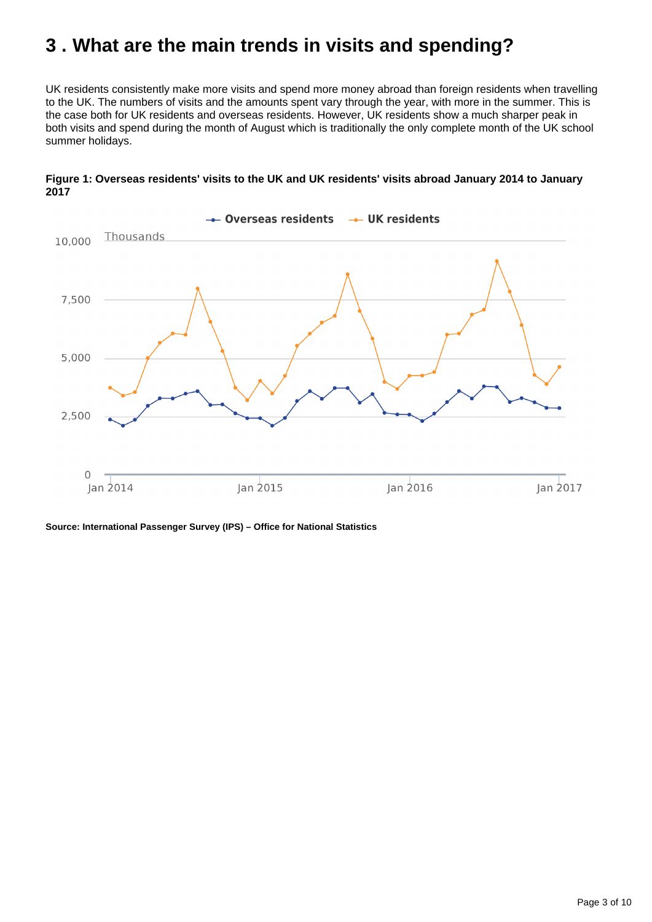## <span id="page-2-0"></span>**3 . What are the main trends in visits and spending?**

UK residents consistently make more visits and spend more money abroad than foreign residents when travelling to the UK. The numbers of visits and the amounts spent vary through the year, with more in the summer. This is the case both for UK residents and overseas residents. However, UK residents show a much sharper peak in both visits and spend during the month of August which is traditionally the only complete month of the UK school summer holidays.



#### **Figure 1: Overseas residents' visits to the UK and UK residents' visits abroad January 2014 to January 2017**

**Source: International Passenger Survey (IPS) – Office for National Statistics**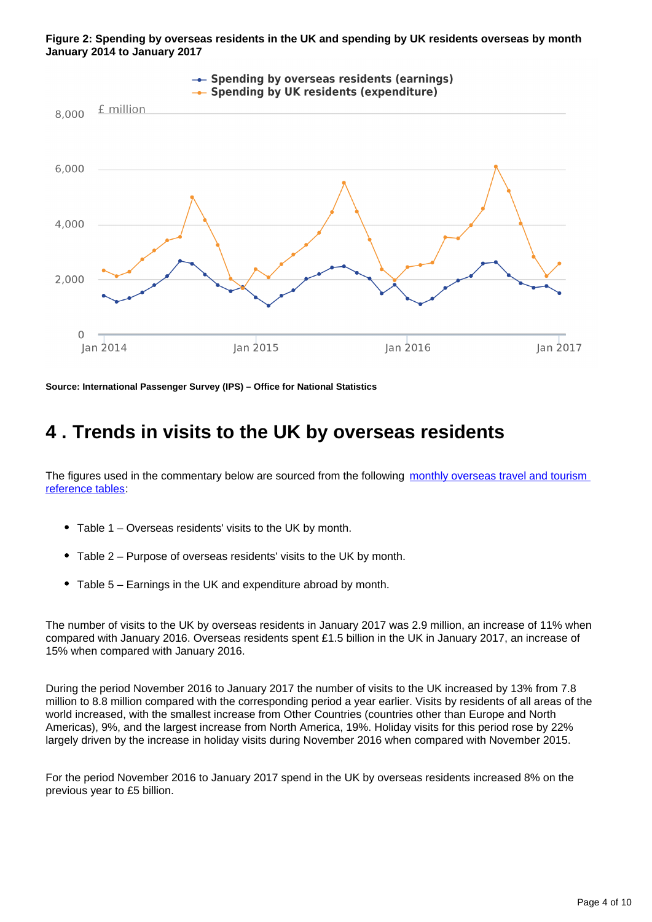



**Source: International Passenger Survey (IPS) – Office for National Statistics**

### <span id="page-3-0"></span>**4 . Trends in visits to the UK by overseas residents**

The figures used in the commentary below are sourced from the following monthly overseas travel and tourism [reference tables](https://www.ons.gov.uk/peoplepopulationandcommunity/leisureandtourism/datasets/monthlyoverseastravelandtourismreferencetables):

- Table 1 Overseas residents' visits to the UK by month.
- Table 2 Purpose of overseas residents' visits to the UK by month.
- Table 5 Earnings in the UK and expenditure abroad by month.

The number of visits to the UK by overseas residents in January 2017 was 2.9 million, an increase of 11% when compared with January 2016. Overseas residents spent £1.5 billion in the UK in January 2017, an increase of 15% when compared with January 2016.

During the period November 2016 to January 2017 the number of visits to the UK increased by 13% from 7.8 million to 8.8 million compared with the corresponding period a year earlier. Visits by residents of all areas of the world increased, with the smallest increase from Other Countries (countries other than Europe and North Americas), 9%, and the largest increase from North America, 19%. Holiday visits for this period rose by 22% largely driven by the increase in holiday visits during November 2016 when compared with November 2015.

For the period November 2016 to January 2017 spend in the UK by overseas residents increased 8% on the previous year to £5 billion.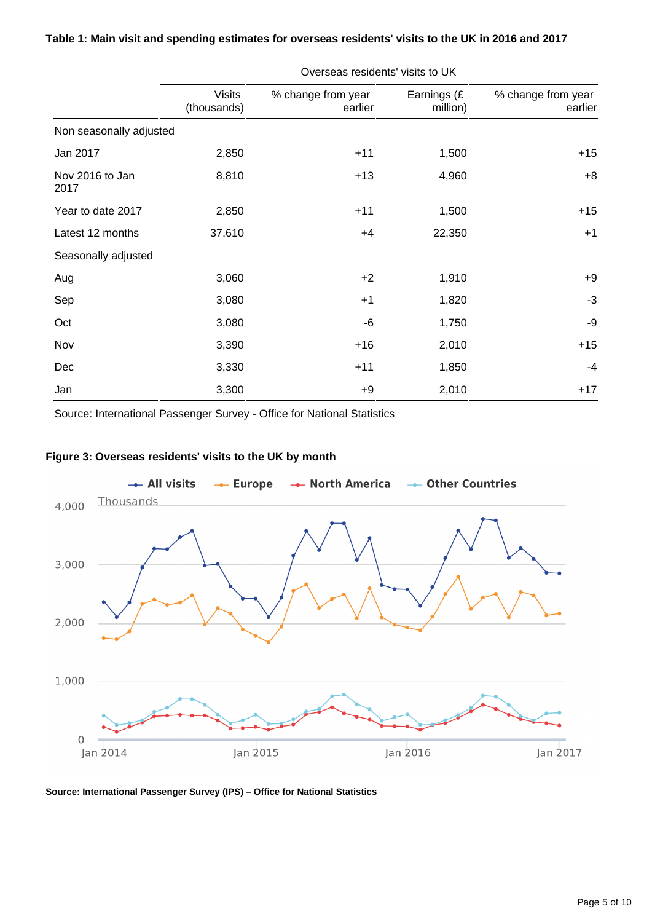|                         | Overseas residents' visits to UK |                               |                         |                               |  |  |
|-------------------------|----------------------------------|-------------------------------|-------------------------|-------------------------------|--|--|
|                         | <b>Visits</b><br>(thousands)     | % change from year<br>earlier | Earnings (£<br>million) | % change from year<br>earlier |  |  |
| Non seasonally adjusted |                                  |                               |                         |                               |  |  |
| Jan 2017                | 2,850                            | $+11$                         | 1,500                   | $+15$                         |  |  |
| Nov 2016 to Jan<br>2017 | 8,810                            | $+13$                         | 4,960                   | $+8$                          |  |  |
| Year to date 2017       | 2,850                            | $+11$                         | 1,500                   | $+15$                         |  |  |
| Latest 12 months        | 37,610                           | $+4$                          | 22,350                  | $+1$                          |  |  |
| Seasonally adjusted     |                                  |                               |                         |                               |  |  |
| Aug                     | 3,060                            | $+2$                          | 1,910                   | $+9$                          |  |  |
| Sep                     | 3,080                            | $+1$                          | 1,820                   | $-3$                          |  |  |
| Oct                     | 3,080                            | -6                            | 1,750                   | -9                            |  |  |
| Nov                     | 3,390                            | $+16$                         | 2,010                   | $+15$                         |  |  |
| Dec                     | 3,330                            | $+11$                         | 1,850                   | $-4$                          |  |  |
| Jan                     | 3,300                            | $+9$                          | 2,010                   | $+17$                         |  |  |

#### **Table 1: Main visit and spending estimates for overseas residents' visits to the UK in 2016 and 2017**

Source: International Passenger Survey - Office for National Statistics

#### **Figure 3: Overseas residents' visits to the UK by month**



**Source: International Passenger Survey (IPS) – Office for National Statistics**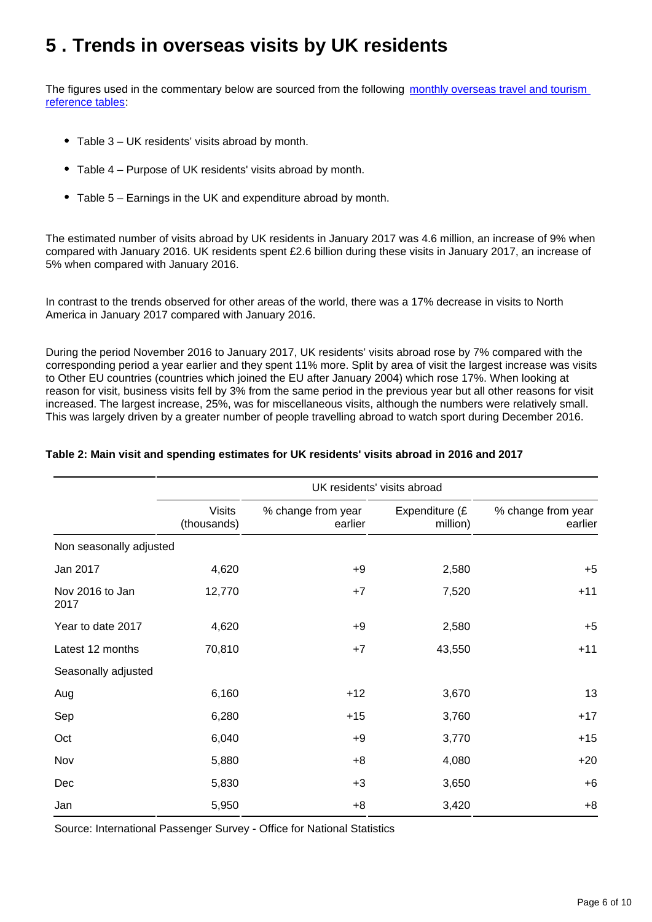## <span id="page-5-0"></span>**5 . Trends in overseas visits by UK residents**

The figures used in the commentary below are sourced from the following monthly overseas travel and tourism [reference tables](https://www.ons.gov.uk/peoplepopulationandcommunity/leisureandtourism/datasets/monthlyoverseastravelandtourismreferencetables):

- Table 3 UK residents' visits abroad by month.
- Table 4 Purpose of UK residents' visits abroad by month.
- Table 5 Earnings in the UK and expenditure abroad by month.

The estimated number of visits abroad by UK residents in January 2017 was 4.6 million, an increase of 9% when compared with January 2016. UK residents spent £2.6 billion during these visits in January 2017, an increase of 5% when compared with January 2016.

In contrast to the trends observed for other areas of the world, there was a 17% decrease in visits to North America in January 2017 compared with January 2016.

During the period November 2016 to January 2017, UK residents' visits abroad rose by 7% compared with the corresponding period a year earlier and they spent 11% more. Split by area of visit the largest increase was visits to Other EU countries (countries which joined the EU after January 2004) which rose 17%. When looking at reason for visit, business visits fell by 3% from the same period in the previous year but all other reasons for visit increased. The largest increase, 25%, was for miscellaneous visits, although the numbers were relatively small. This was largely driven by a greater number of people travelling abroad to watch sport during December 2016.

|  |  | Table 2: Main visit and spending estimates for UK residents' visits abroad in 2016 and 2017 |  |  |  |  |
|--|--|---------------------------------------------------------------------------------------------|--|--|--|--|
|  |  |                                                                                             |  |  |  |  |

|                         | UK residents' visits abroad  |                               |                            |                               |  |
|-------------------------|------------------------------|-------------------------------|----------------------------|-------------------------------|--|
|                         | <b>Visits</b><br>(thousands) | % change from year<br>earlier | Expenditure (£<br>million) | % change from year<br>earlier |  |
| Non seasonally adjusted |                              |                               |                            |                               |  |
| Jan 2017                | 4,620                        | $+9$                          | 2,580                      | $+5$                          |  |
| Nov 2016 to Jan<br>2017 | 12,770                       | $+7$                          | 7,520                      | $+11$                         |  |
| Year to date 2017       | 4,620                        | $+9$                          | 2,580                      | $+5$                          |  |
| Latest 12 months        | 70,810                       | $+7$                          | 43,550                     | $+11$                         |  |
| Seasonally adjusted     |                              |                               |                            |                               |  |
| Aug                     | 6,160                        | $+12$                         | 3,670                      | 13                            |  |
| Sep                     | 6,280                        | $+15$                         | 3,760                      | $+17$                         |  |
| Oct                     | 6,040                        | $+9$                          | 3,770                      | $+15$                         |  |
| Nov                     | 5,880                        | $+8$                          | 4,080                      | $+20$                         |  |
| Dec                     | 5,830                        | $+3$                          | 3,650                      | $+6$                          |  |
| Jan                     | 5,950                        | $+8$                          | 3,420                      | $+8$                          |  |

Source: International Passenger Survey - Office for National Statistics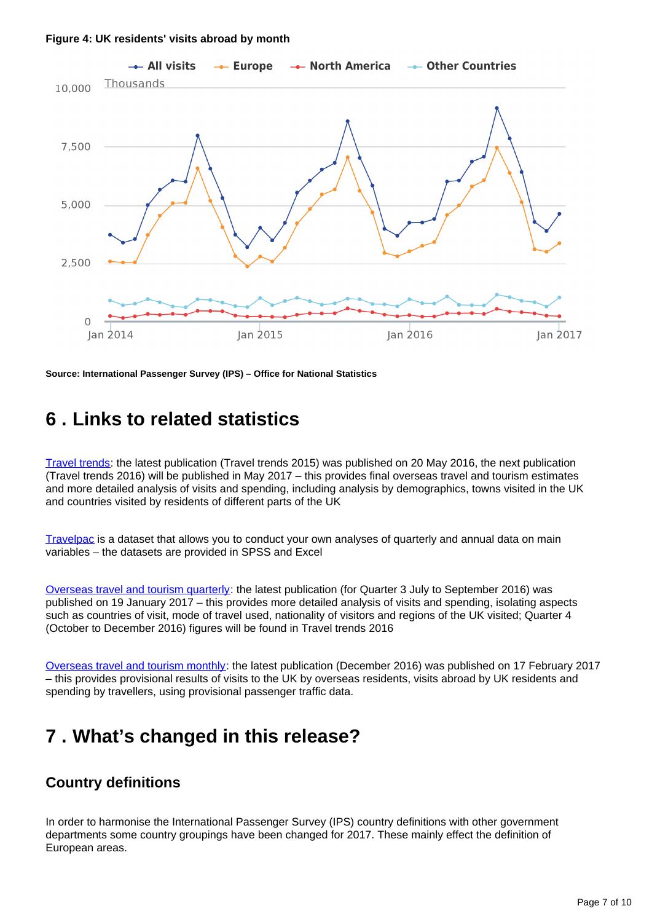#### **Figure 4: UK residents' visits abroad by month**



**Source: International Passenger Survey (IPS) – Office for National Statistics**

### <span id="page-6-0"></span>**6 . Links to related statistics**

[Travel trends:](http://www.ons.gov.uk/peoplepopulationandcommunity/leisureandtourism/articles/traveltrends/previousReleases) the latest publication (Travel trends 2015) was published on 20 May 2016, the next publication (Travel trends 2016) will be published in May 2017 – this provides final overseas travel and tourism estimates and more detailed analysis of visits and spending, including analysis by demographics, towns visited in the UK and countries visited by residents of different parts of the UK

[Travelpac](http://www.ons.gov.uk/peoplepopulationandcommunity/leisureandtourism/datasets/travelpac) is a dataset that allows you to conduct your own analyses of quarterly and annual data on main variables – the datasets are provided in SPSS and Excel

[Overseas travel and tourism quarterly](http://www.ons.gov.uk/peoplepopulationandcommunity/leisureandtourism/articles/overseastravelandtourismprovisionalresults/previousReleases): the latest publication (for Quarter 3 July to September 2016) was published on 19 January 2017 – this provides more detailed analysis of visits and spending, isolating aspects such as countries of visit, mode of travel used, nationality of visitors and regions of the UK visited; Quarter 4 (October to December 2016) figures will be found in Travel trends 2016

[Overseas travel and tourism monthly:](https://www.ons.gov.uk/peoplepopulationandcommunity/leisureandtourism/bulletins/overseastravelandtourism/previousReleases) the latest publication (December 2016) was published on 17 February 2017 – this provides provisional results of visits to the UK by overseas residents, visits abroad by UK residents and spending by travellers, using provisional passenger traffic data.

### <span id="page-6-1"></span>**7 . What's changed in this release?**

### **Country definitions**

In order to harmonise the International Passenger Survey (IPS) country definitions with other government departments some country groupings have been changed for 2017. These mainly effect the definition of European areas.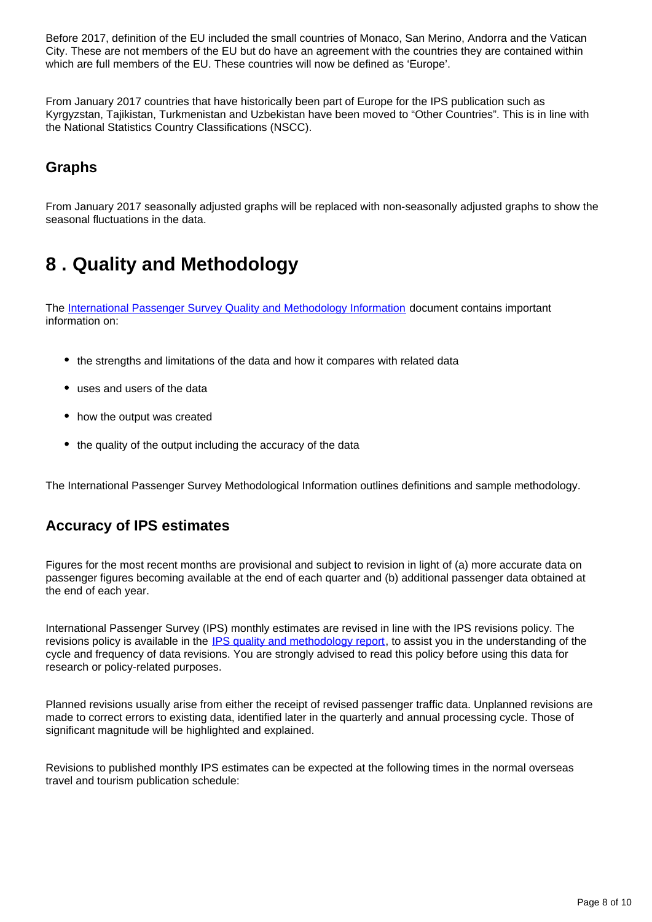Before 2017, definition of the EU included the small countries of Monaco, San Merino, Andorra and the Vatican City. These are not members of the EU but do have an agreement with the countries they are contained within which are full members of the EU. These countries will now be defined as 'Europe'.

From January 2017 countries that have historically been part of Europe for the IPS publication such as Kyrgyzstan, Tajikistan, Turkmenistan and Uzbekistan have been moved to "Other Countries". This is in line with the National Statistics Country Classifications (NSCC).

### **Graphs**

From January 2017 seasonally adjusted graphs will be replaced with non-seasonally adjusted graphs to show the seasonal fluctuations in the data.

## <span id="page-7-0"></span>**8 . Quality and Methodology**

The [International Passenger Survey Quality and Methodology Information](https://www.ons.gov.uk/peoplepopulationandcommunity/leisureandtourism/qmis/internationalpassengersurveyipsqmi) document contains important information on:

- the strengths and limitations of the data and how it compares with related data
- uses and users of the data
- how the output was created
- the quality of the output including the accuracy of the data

The International Passenger Survey Methodological Information outlines definitions and sample methodology.

### **Accuracy of IPS estimates**

Figures for the most recent months are provisional and subject to revision in light of (a) more accurate data on passenger figures becoming available at the end of each quarter and (b) additional passenger data obtained at the end of each year.

International Passenger Survey (IPS) monthly estimates are revised in line with the IPS revisions policy. The revisions policy is available in the [IPS quality and methodology report](http://www.ons.gov.uk/peoplepopulationandcommunity/leisureandtourism/qmis/internationalpassengersurveyipsqmi), to assist you in the understanding of the cycle and frequency of data revisions. You are strongly advised to read this policy before using this data for research or policy-related purposes.

Planned revisions usually arise from either the receipt of revised passenger traffic data. Unplanned revisions are made to correct errors to existing data, identified later in the quarterly and annual processing cycle. Those of significant magnitude will be highlighted and explained.

Revisions to published monthly IPS estimates can be expected at the following times in the normal overseas travel and tourism publication schedule: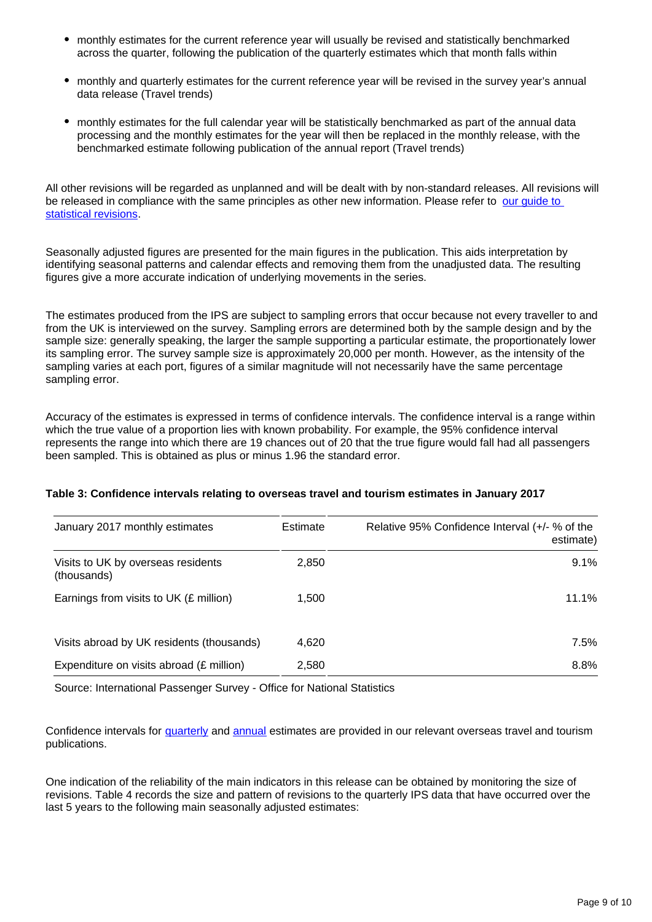- monthly estimates for the current reference year will usually be revised and statistically benchmarked across the quarter, following the publication of the quarterly estimates which that month falls within
- monthly and quarterly estimates for the current reference year will be revised in the survey year's annual data release (Travel trends)
- monthly estimates for the full calendar year will be statistically benchmarked as part of the annual data processing and the monthly estimates for the year will then be replaced in the monthly release, with the benchmarked estimate following publication of the annual report (Travel trends)

All other revisions will be regarded as unplanned and will be dealt with by non-standard releases. All revisions will be released in compliance with the same principles as other new information. Please refer to [our guide to](http://www.ons.gov.uk/ons/guide-method/revisions/guide-to-statistical-revisions/index.html)  [statistical revisions](http://www.ons.gov.uk/ons/guide-method/revisions/guide-to-statistical-revisions/index.html).

Seasonally adjusted figures are presented for the main figures in the publication. This aids interpretation by identifying seasonal patterns and calendar effects and removing them from the unadjusted data. The resulting figures give a more accurate indication of underlying movements in the series.

The estimates produced from the IPS are subject to sampling errors that occur because not every traveller to and from the UK is interviewed on the survey. Sampling errors are determined both by the sample design and by the sample size: generally speaking, the larger the sample supporting a particular estimate, the proportionately lower its sampling error. The survey sample size is approximately 20,000 per month. However, as the intensity of the sampling varies at each port, figures of a similar magnitude will not necessarily have the same percentage sampling error.

Accuracy of the estimates is expressed in terms of confidence intervals. The confidence interval is a range within which the true value of a proportion lies with known probability. For example, the 95% confidence interval represents the range into which there are 19 chances out of 20 that the true figure would fall had all passengers been sampled. This is obtained as plus or minus 1.96 the standard error.

| January 2017 monthly estimates                    | Estimate | Relative 95% Confidence Interval (+/- % of the<br>estimate) |
|---------------------------------------------------|----------|-------------------------------------------------------------|
| Visits to UK by overseas residents<br>(thousands) | 2,850    | 9.1%                                                        |
| Earnings from visits to UK (£ million)            | 1,500    | 11.1%                                                       |
| Visits abroad by UK residents (thousands)         | 4,620    | 7.5%                                                        |
| Expenditure on visits abroad (£ million)          | 2,580    | 8.8%                                                        |

#### **Table 3: Confidence intervals relating to overseas travel and tourism estimates in January 2017**

Source: International Passenger Survey - Office for National Statistics

Confidence intervals for [quarterly](http://www.ons.gov.uk/peoplepopulationandcommunity/leisureandtourism/articles/overseastravelandtourismprovisionalresults/previousReleases) and [annual](http://www.ons.gov.uk/peoplepopulationandcommunity/leisureandtourism/articles/traveltrends/previousReleases) estimates are provided in our relevant overseas travel and tourism publications.

One indication of the reliability of the main indicators in this release can be obtained by monitoring the size of revisions. Table 4 records the size and pattern of revisions to the quarterly IPS data that have occurred over the last 5 years to the following main seasonally adjusted estimates: